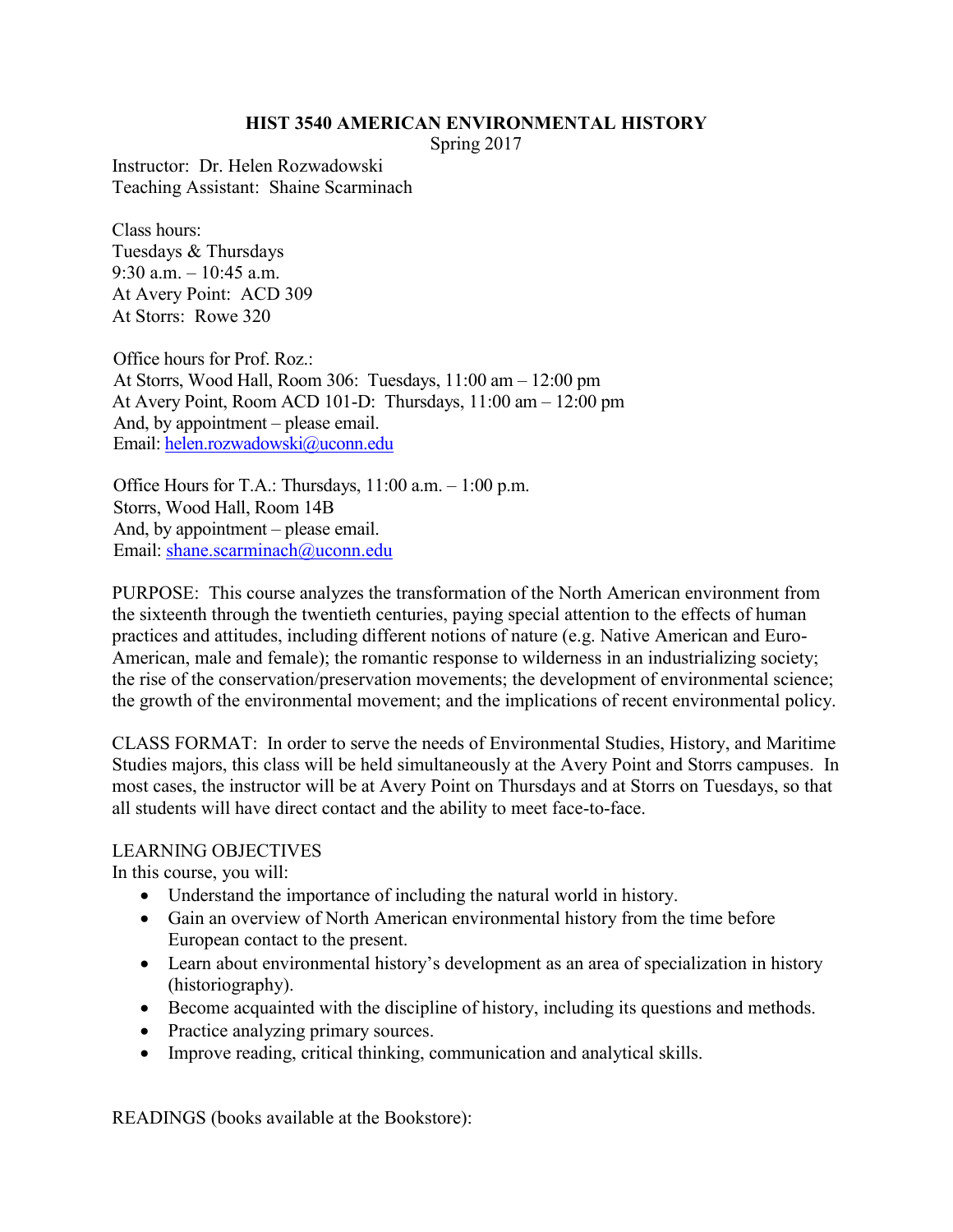#### **HIST 3540 AMERICAN ENVIRONMENTAL HISTORY**

Spring 2017

Instructor: Dr. Helen Rozwadowski Teaching Assistant: Shaine Scarminach

Class hours: Tuesdays & Thursdays 9:30 a.m. – 10:45 a.m. At Avery Point: ACD 309 At Storrs: Rowe 320

Office hours for Prof. Roz.: At Storrs, Wood Hall, Room 306: Tuesdays, 11:00 am – 12:00 pm At Avery Point, Room ACD 101-D: Thursdays, 11:00 am – 12:00 pm And, by appointment – please email. Email: [helen.rozwadowski@uconn.edu](mailto:helen.rozwadowski@uconn.edu)

Office Hours for T.A.: Thursdays, 11:00 a.m. – 1:00 p.m. Storrs, Wood Hall, Room 14B And, by appointment – please email. Email[: shane.scarminach@uconn.edu](mailto:shane.scarminach@uconn.edu)

PURPOSE: This course analyzes the transformation of the North American environment from the sixteenth through the twentieth centuries, paying special attention to the effects of human practices and attitudes, including different notions of nature (e.g. Native American and Euro-American, male and female); the romantic response to wilderness in an industrializing society; the rise of the conservation/preservation movements; the development of environmental science; the growth of the environmental movement; and the implications of recent environmental policy.

CLASS FORMAT: In order to serve the needs of Environmental Studies, History, and Maritime Studies majors, this class will be held simultaneously at the Avery Point and Storrs campuses. In most cases, the instructor will be at Avery Point on Thursdays and at Storrs on Tuesdays, so that all students will have direct contact and the ability to meet face-to-face.

### LEARNING OBJECTIVES

In this course, you will:

- Understand the importance of including the natural world in history.
- Gain an overview of North American environmental history from the time before European contact to the present.
- Learn about environmental history's development as an area of specialization in history (historiography).
- Become acquainted with the discipline of history, including its questions and methods.
- Practice analyzing primary sources.
- Improve reading, critical thinking, communication and analytical skills.

READINGS (books available at the Bookstore):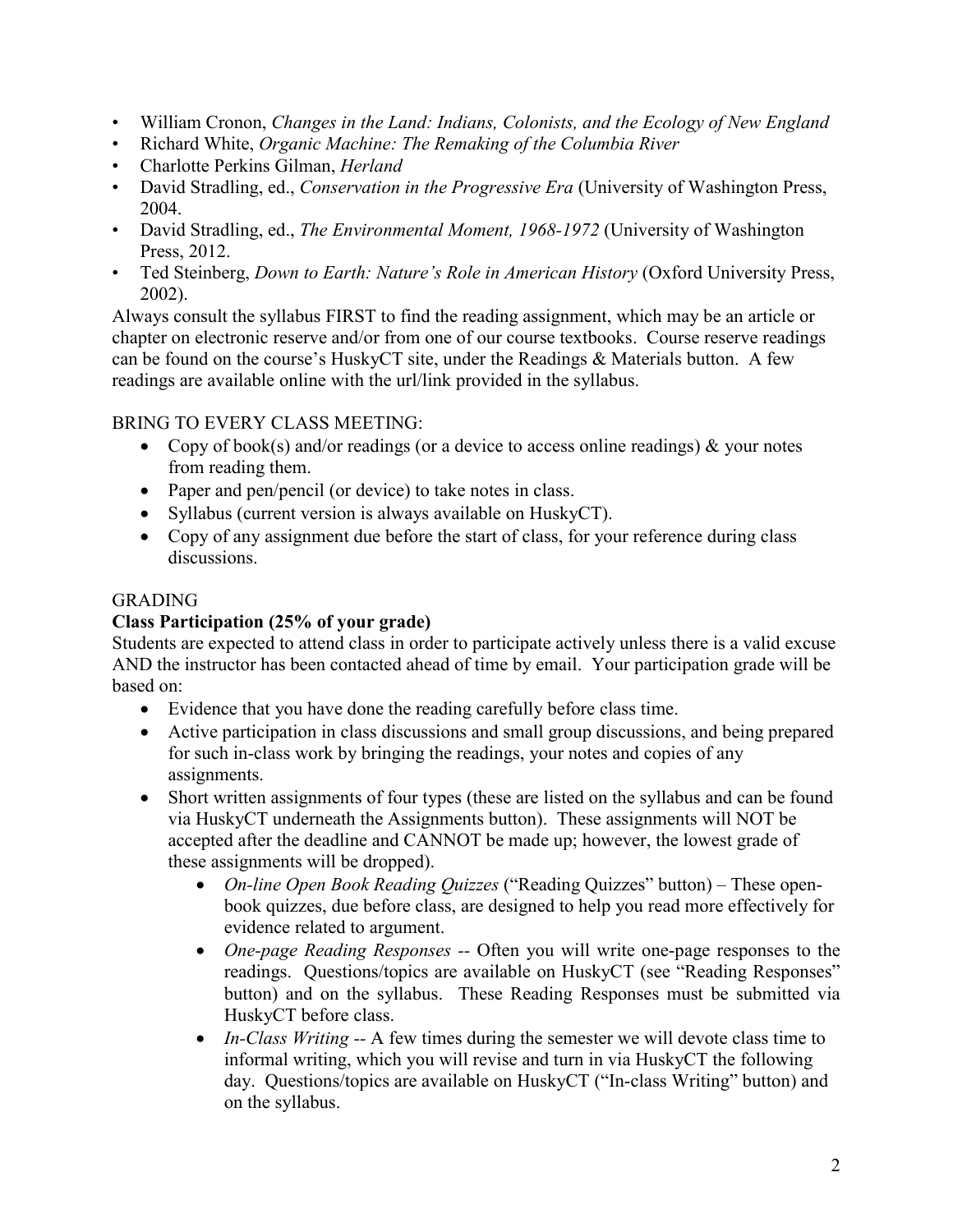- William Cronon, *Changes in the Land: Indians, Colonists, and the Ecology of New England*
- Richard White, *Organic Machine: The Remaking of the Columbia River*
- Charlotte Perkins Gilman, *Herland*
- David Stradling, ed., *Conservation in the Progressive Era* (University of Washington Press, 2004.
- David Stradling, ed., *The Environmental Moment, 1968-1972* (University of Washington Press, 2012.
- Ted Steinberg, *Down to Earth: Nature's Role in American History* (Oxford University Press, 2002).

Always consult the syllabus FIRST to find the reading assignment, which may be an article or chapter on electronic reserve and/or from one of our course textbooks. Course reserve readings can be found on the course's HuskyCT site, under the Readings & Materials button. A few readings are available online with the url/link provided in the syllabus.

# BRING TO EVERY CLASS MEETING:

- Copy of book(s) and/or readings (or a device to access online readings)  $\&$  your notes from reading them.
- Paper and pen/pencil (or device) to take notes in class.
- Syllabus (current version is always available on HuskyCT).
- Copy of any assignment due before the start of class, for your reference during class discussions.

## GRADING

## **Class Participation (25% of your grade)**

Students are expected to attend class in order to participate actively unless there is a valid excuse AND the instructor has been contacted ahead of time by email. Your participation grade will be based on:

- Evidence that you have done the reading carefully before class time.
- Active participation in class discussions and small group discussions, and being prepared for such in-class work by bringing the readings, your notes and copies of any assignments.
- Short written assignments of four types (these are listed on the syllabus and can be found via HuskyCT underneath the Assignments button). These assignments will NOT be accepted after the deadline and CANNOT be made up; however, the lowest grade of these assignments will be dropped).
	- *On-line Open Book Reading Quizzes* ("Reading Quizzes" button) These openbook quizzes, due before class, are designed to help you read more effectively for evidence related to argument.
	- *One-page Reading Responses --* Often you will write one-page responses to the readings. Questions/topics are available on HuskyCT (see "Reading Responses" button) and on the syllabus. These Reading Responses must be submitted via HuskyCT before class.
	- *In-Class Writing --* A few times during the semester we will devote class time to informal writing, which you will revise and turn in via HuskyCT the following day. Questions/topics are available on HuskyCT ("In-class Writing" button) and on the syllabus.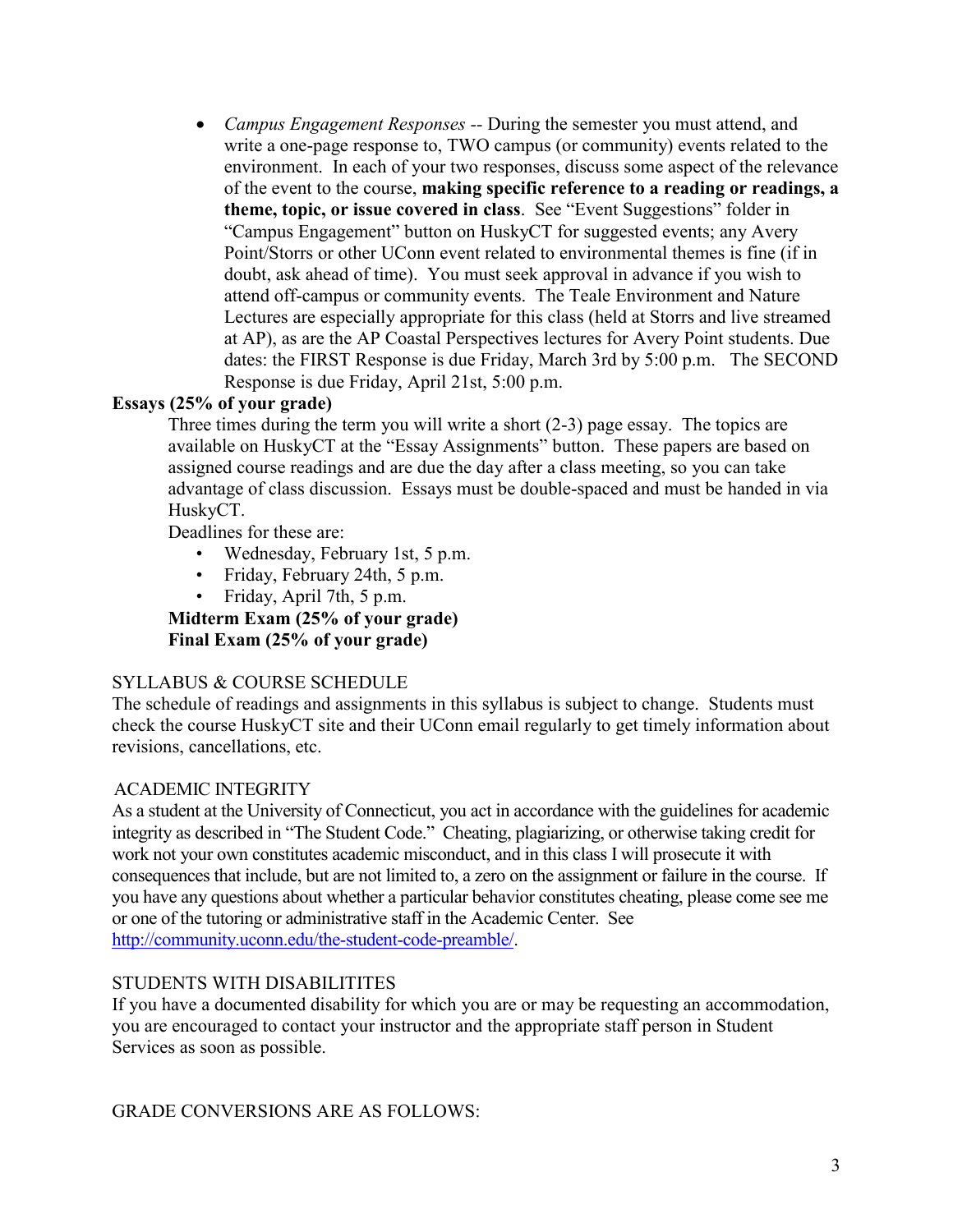*Campus Engagement Responses --* During the semester you must attend, and write a one-page response to, TWO campus (or community) events related to the environment. In each of your two responses, discuss some aspect of the relevance of the event to the course, **making specific reference to a reading or readings, a theme, topic, or issue covered in class**. See "Event Suggestions" folder in "Campus Engagement" button on HuskyCT for suggested events; any Avery Point/Storrs or other UConn event related to environmental themes is fine (if in doubt, ask ahead of time). You must seek approval in advance if you wish to attend off-campus or community events. The Teale Environment and Nature Lectures are especially appropriate for this class (held at Storrs and live streamed at AP), as are the AP Coastal Perspectives lectures for Avery Point students. Due dates: the FIRST Response is due Friday, March 3rd by 5:00 p.m. The SECOND Response is due Friday, April 21st, 5:00 p.m.

### **Essays (25% of your grade)**

Three times during the term you will write a short (2-3) page essay. The topics are available on HuskyCT at the "Essay Assignments" button. These papers are based on assigned course readings and are due the day after a class meeting, so you can take advantage of class discussion. Essays must be double-spaced and must be handed in via HuskyCT.

Deadlines for these are:

- Wednesday, February 1st, 5 p.m.
- Friday, February 24th, 5 p.m.
- Friday, April 7th, 5 p.m.

**Midterm Exam (25% of your grade) Final Exam (25% of your grade)**

### SYLLABUS & COURSE SCHEDULE

The schedule of readings and assignments in this syllabus is subject to change. Students must check the course HuskyCT site and their UConn email regularly to get timely information about revisions, cancellations, etc.

## ACADEMIC INTEGRITY

As a student at the University of Connecticut, you act in accordance with the guidelines for academic integrity as described in "The Student Code." Cheating, plagiarizing, or otherwise taking credit for work not your own constitutes academic misconduct, and in this class I will prosecute it with consequences that include, but are not limited to, a zero on the assignment or failure in the course. If you have any questions about whether a particular behavior constitutes cheating, please come see me or one of the tutoring or administrative staff in the Academic Center. See [http://community.uconn.edu/the-student-code-preamble/.](http://community.uconn.edu/the-student-code-preamble/)

### STUDENTS WITH DISABILITITES

If you have a documented disability for which you are or may be requesting an accommodation, you are encouraged to contact your instructor and the appropriate staff person in Student Services as soon as possible.

GRADE CONVERSIONS ARE AS FOLLOWS: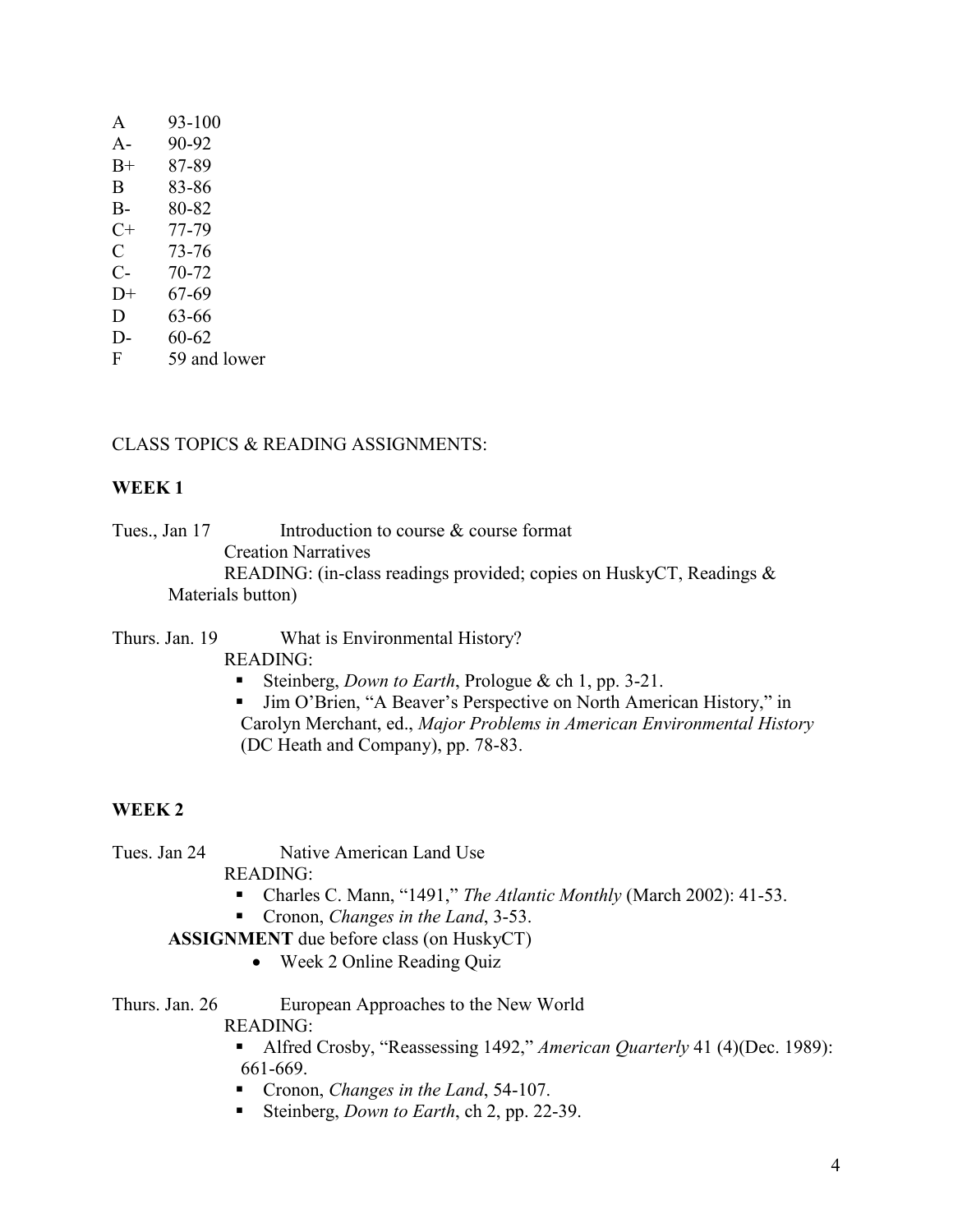| A    | 93-100       |
|------|--------------|
| $A-$ | 90-92        |
| $B+$ | 87-89        |
| B    | 83-86        |
| B-   | 80-82        |
| $C+$ | 77-79        |
| C    | 73-76        |
| $C-$ | 70-72        |
| D+   | 67-69        |
| D    | 63-66        |
| $D-$ | 60-62        |
| F    | 59 and lower |

### CLASS TOPICS & READING ASSIGNMENTS:

### **WEEK 1**

Tues., Jan 17 Introduction to course & course format Creation Narratives READING: (in-class readings provided; copies on HuskyCT, Readings & Materials button)

Thurs. Jan. 19 What is Environmental History?

- READING:
	- Steinberg, *Down to Earth*, Prologue & ch 1, pp. 3-21.
	- Jim O'Brien, "A Beaver's Perspective on North American History," in Carolyn Merchant, ed., *Major Problems in American Environmental History* (DC Heath and Company), pp. 78-83.

### **WEEK 2**

Tues. Jan 24 Native American Land Use

READING:

- Charles C. Mann, "1491," *The Atlantic Monthly* (March 2002): 41-53.
- Cronon, *Changes in the Land*, 3-53.

**ASSIGNMENT** due before class (on HuskyCT)

Week 2 Online Reading Quiz

#### Thurs. Jan. 26 European Approaches to the New World READING:

 Alfred Crosby, "Reassessing 1492," *American Quarterly* 41 (4)(Dec. 1989): 661-669.

- Cronon, *Changes in the Land*, 54-107.
- Steinberg, *Down to Earth*, ch 2, pp. 22-39.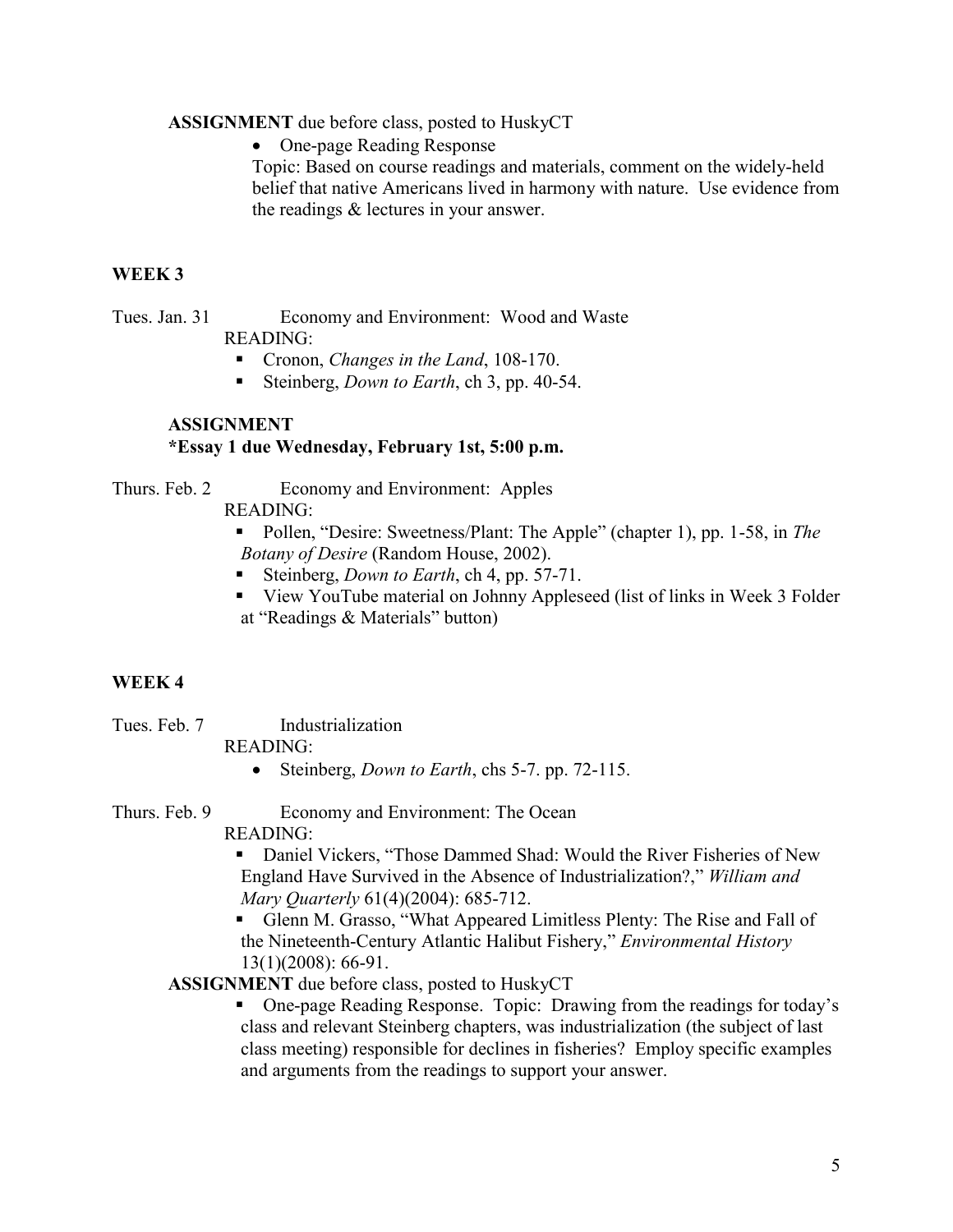#### **ASSIGNMENT** due before class, posted to HuskyCT

One-page Reading Response

Topic: Based on course readings and materials, comment on the widely-held belief that native Americans lived in harmony with nature. Use evidence from the readings & lectures in your answer.

### **WEEK 3**

Tues. Jan. 31 Economy and Environment: Wood and Waste READING:

- Cronon, *Changes in the Land*, 108-170.
- Steinberg, *Down to Earth*, ch 3, pp. 40-54.

### **ASSIGNMENT \*Essay 1 due Wednesday, February 1st, 5:00 p.m.**

Thurs. Feb. 2 Economy and Environment: Apples

READING:

- Pollen, "Desire: Sweetness/Plant: The Apple" (chapter 1), pp. 1-58, in *The Botany of Desire* (Random House, 2002).
- Steinberg, *Down to Earth*, ch 4, pp. 57-71.
- View YouTube material on Johnny Appleseed (list of links in Week 3 Folder at "Readings & Materials" button)

### **WEEK 4**

Tues. Feb. 7 **Industrialization** 

#### READING:

Steinberg, *Down to Earth*, chs 5-7. pp. 72-115.

Thurs. Feb. 9 Economy and Environment: The Ocean

READING:

 Daniel Vickers, "Those Dammed Shad: Would the River Fisheries of New England Have Survived in the Absence of Industrialization?," *William and Mary Quarterly* 61(4)(2004): 685-712.

 Glenn M. Grasso, "What Appeared Limitless Plenty: The Rise and Fall of the Nineteenth-Century Atlantic Halibut Fishery," *Environmental History* 13(1)(2008): 66-91.

### **ASSIGNMENT** due before class, posted to HuskyCT

 One-page Reading Response. Topic: Drawing from the readings for today's class and relevant Steinberg chapters, was industrialization (the subject of last class meeting) responsible for declines in fisheries? Employ specific examples and arguments from the readings to support your answer.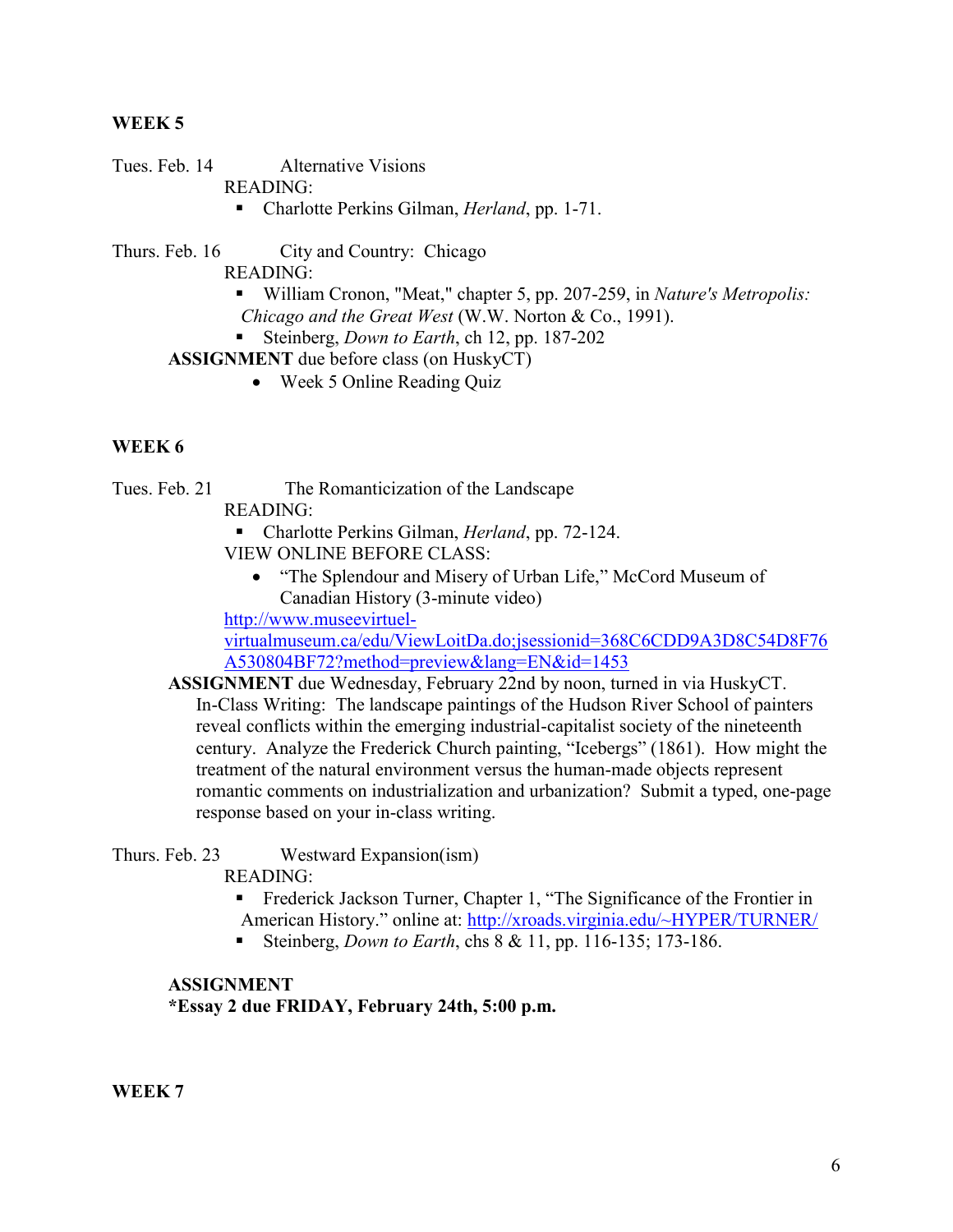### **WEEK 5**

Tues. Feb. 14 Alternative Visions

READING:

■ Charlotte Perkins Gilman, *Herland*, pp. 1-71.

Thurs. Feb. 16 City and Country: Chicago

READING:

- William Cronon, "Meat," chapter 5, pp. 207-259, in *Nature's Metropolis: Chicago and the Great West* (W.W. Norton & Co., 1991).
- Steinberg, *Down to Earth*, ch 12, pp. 187-202

**ASSIGNMENT** due before class (on HuskyCT)

• Week 5 Online Reading Quiz

### **WEEK 6**

Tues. Feb. 21 The Romanticization of the Landscape

READING:

 Charlotte Perkins Gilman, *Herland*, pp. 72-124. VIEW ONLINE BEFORE CLASS:

• "The Splendour and Misery of Urban Life," McCord Museum of Canadian History (3-minute video)

```
http://www.museevirtuel-
```
[virtualmuseum.ca/edu/ViewLoitDa.do;jsessionid=368C6CDD9A3D8C54D8F76](http://www.museevirtuel-virtualmuseum.ca/edu/ViewLoitDa.do;jsessionid=368C6CDD9A3D8C54D8F76A530804BF72?method=preview&lang=EN&id=1453) [A530804BF72?method=preview&lang=EN&id=1453](http://www.museevirtuel-virtualmuseum.ca/edu/ViewLoitDa.do;jsessionid=368C6CDD9A3D8C54D8F76A530804BF72?method=preview&lang=EN&id=1453)

**ASSIGNMENT** due Wednesday, February 22nd by noon, turned in via HuskyCT. In-Class Writing: The landscape paintings of the Hudson River School of painters reveal conflicts within the emerging industrial-capitalist society of the nineteenth century. Analyze the Frederick Church painting, "Icebergs" (1861). How might the treatment of the natural environment versus the human-made objects represent romantic comments on industrialization and urbanization? Submit a typed, one-page response based on your in-class writing.

Thurs. Feb. 23 Westward Expansion(ism)

READING:

- Frederick Jackson Turner, Chapter 1, "The Significance of the Frontier in American History." online at: <http://xroads.virginia.edu/~HYPER/TURNER/>
- Steinberg, *Down to Earth*, chs 8 & 11, pp. 116-135; 173-186.

## **ASSIGNMENT \*Essay 2 due FRIDAY, February 24th, 5:00 p.m.**

**WEEK 7**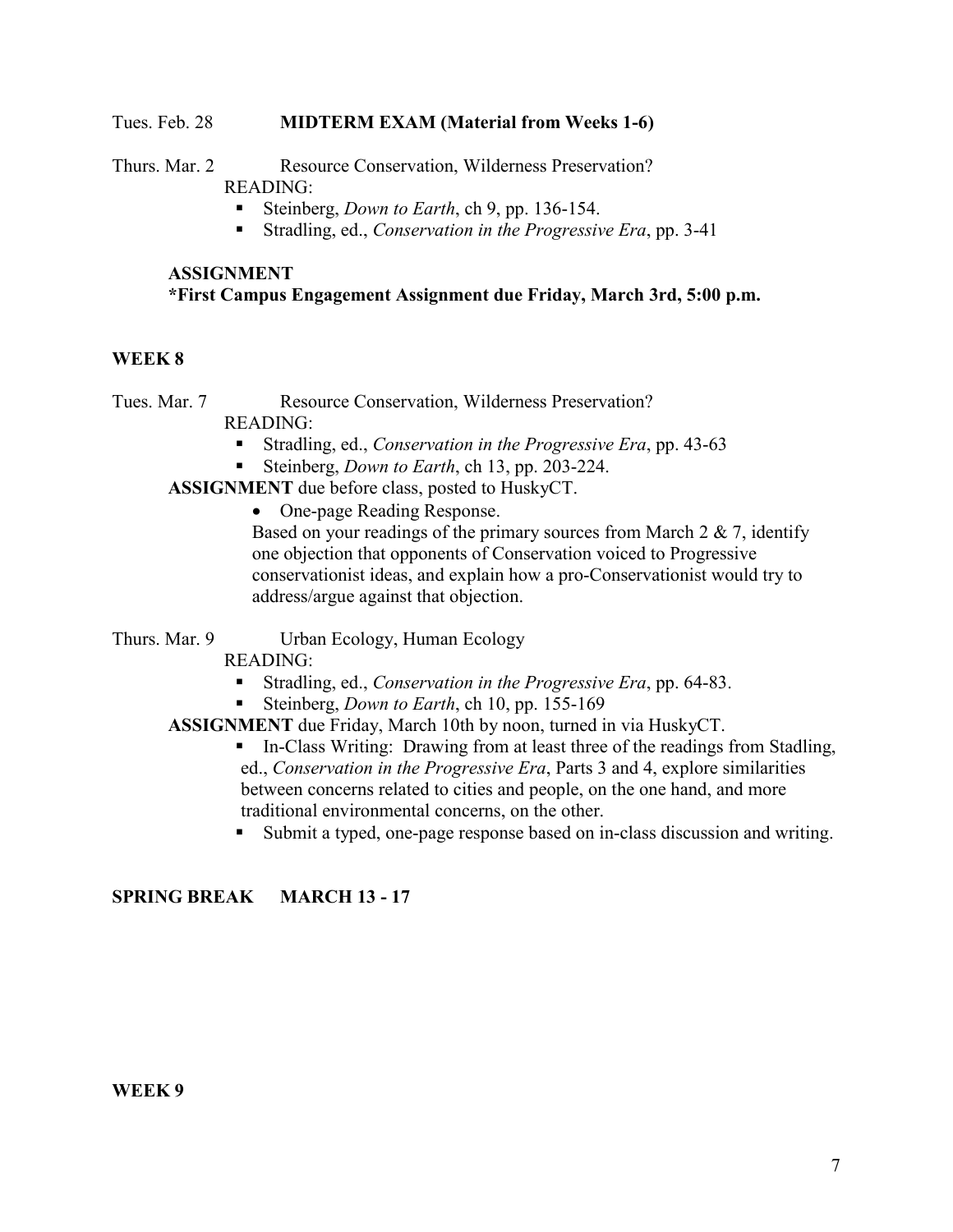#### Tues. Feb. 28 **MIDTERM EXAM (Material from Weeks 1-6)**

Thurs. Mar. 2 Resource Conservation, Wilderness Preservation? READING:

- Steinberg, *Down to Earth*, ch 9, pp. 136-154.
- Stradling, ed., *Conservation in the Progressive Era*, pp. 3-41

## **ASSIGNMENT \*First Campus Engagement Assignment due Friday, March 3rd, 5:00 p.m.**

### **WEEK 8**

Tues. Mar. 7 Resource Conservation, Wilderness Preservation?

READING:

- Stradling, ed., *Conservation in the Progressive Era*, pp. 43-63
- Steinberg, *Down to Earth*, ch 13, pp. 203-224.

**ASSIGNMENT** due before class, posted to HuskyCT.

• One-page Reading Response.

Based on your readings of the primary sources from March  $2 \& 7$ , identify one objection that opponents of Conservation voiced to Progressive conservationist ideas, and explain how a pro-Conservationist would try to address/argue against that objection.

Thurs. Mar. 9 Urban Ecology, Human Ecology

READING:

- Stradling, ed., *Conservation in the Progressive Era*, pp. 64-83.
- Steinberg, *Down to Earth*, ch 10, pp. 155-169

**ASSIGNMENT** due Friday, March 10th by noon, turned in via HuskyCT.

- In-Class Writing: Drawing from at least three of the readings from Stadling, ed., *Conservation in the Progressive Era*, Parts 3 and 4, explore similarities between concerns related to cities and people, on the one hand, and more traditional environmental concerns, on the other.
- Submit a typed, one-page response based on in-class discussion and writing.

### **SPRING BREAK MARCH 13 - 17**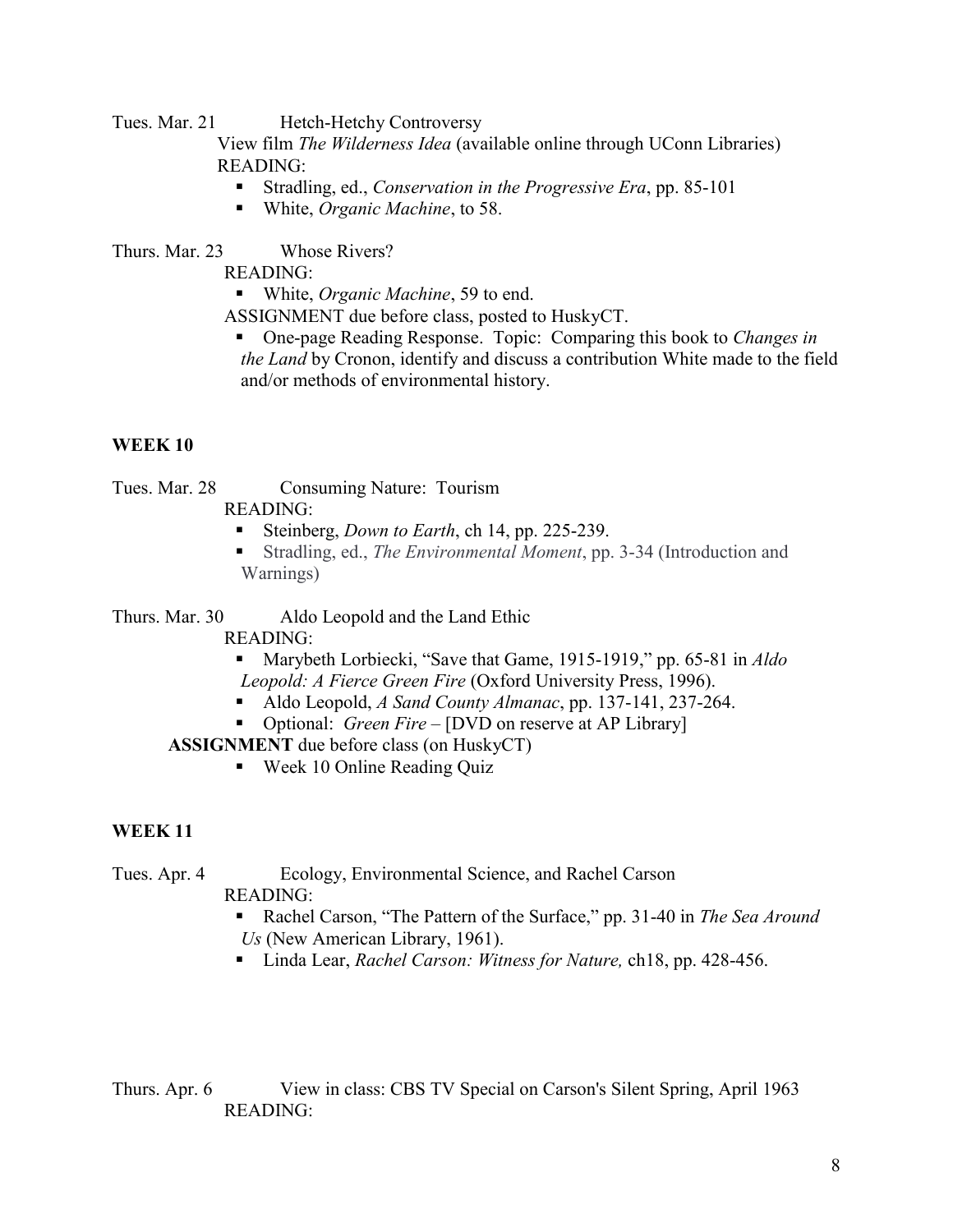Tues. Mar. 21 Hetch-Hetchy Controversy

View film *The Wilderness Idea* (available online through UConn Libraries) READING:

- Stradling, ed., *Conservation in the Progressive Era*, pp. 85-101
- White, *Organic Machine*, to 58.

Thurs. Mar. 23 Whose Rivers?

READING:

■ White, *Organic Machine*, 59 to end.

ASSIGNMENT due before class, posted to HuskyCT.

 One-page Reading Response. Topic: Comparing this book to *Changes in the Land* by Cronon, identify and discuss a contribution White made to the field and/or methods of environmental history.

## **WEEK 10**

Tues. Mar. 28 Consuming Nature: Tourism

- READING:
	- Steinberg, *Down to Earth*, ch 14, pp. 225-239.
	- Stradling, ed., *The Environmental Moment*, pp. 3-34 (Introduction and Warnings)

Thurs. Mar. 30 Aldo Leopold and the Land Ethic

READING:

- Marybeth Lorbiecki, "Save that Game, 1915-1919," pp. 65-81 in *Aldo Leopold: A Fierce Green Fire* (Oxford University Press, 1996).
- Aldo Leopold, *A Sand County Almanac*, pp. 137-141, 237-264.
- **•** Optional: *Green Fire* [DVD on reserve at AP Library]

**ASSIGNMENT** due before class (on HuskyCT)

■ Week 10 Online Reading Quiz

## **WEEK 11**

Tues. Apr. 4 Ecology, Environmental Science, and Rachel Carson

READING:

- Rachel Carson, "The Pattern of the Surface," pp. 31-40 in *The Sea Around Us* (New American Library, 1961).
- Linda Lear, *Rachel Carson: Witness for Nature*, ch18, pp. 428-456.

Thurs. Apr. 6 View in class: CBS TV Special on Carson's Silent Spring, April 1963 READING: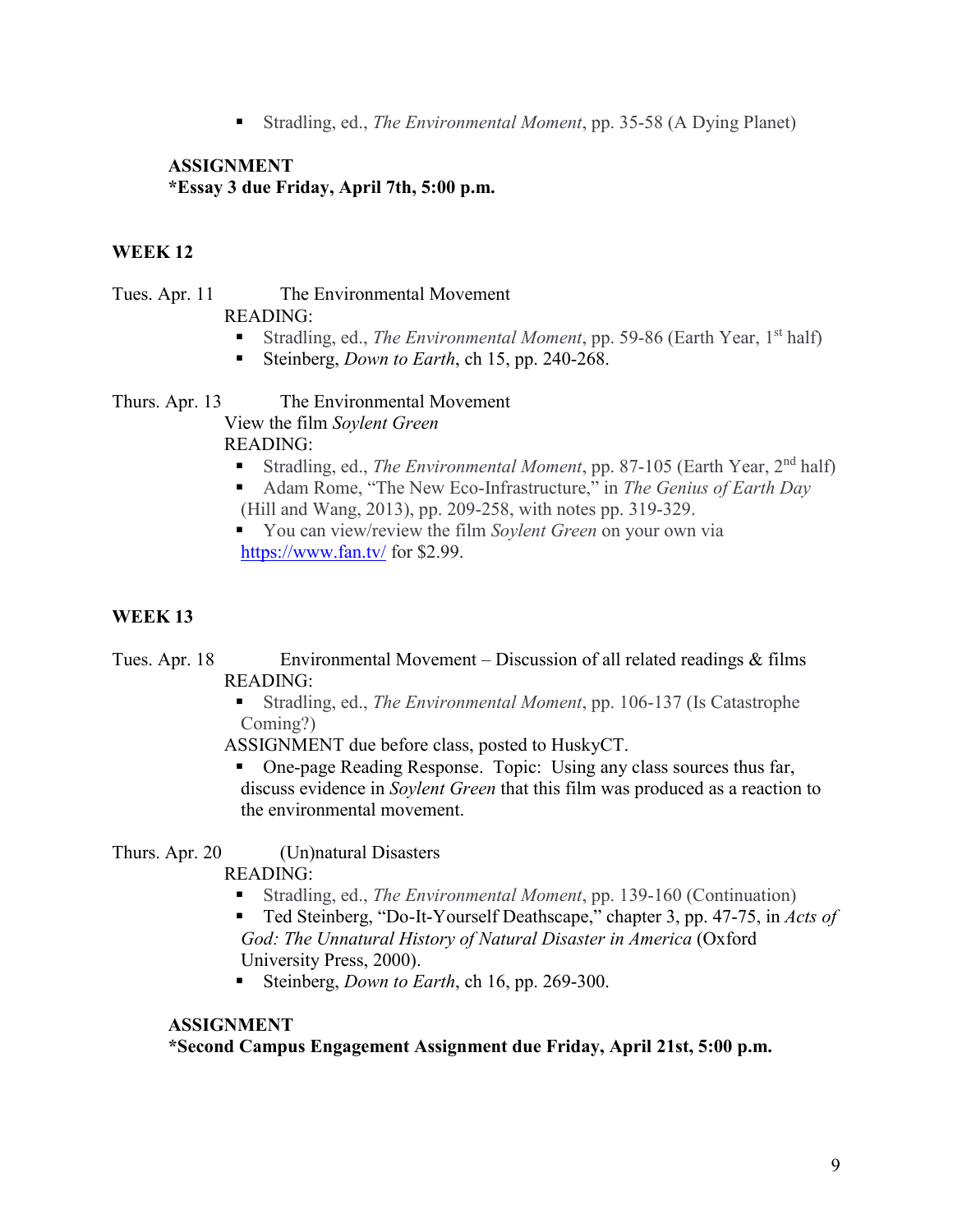Stradling, ed., *The Environmental Moment*, pp. 35-58 (A Dying Planet)

### **ASSIGNMENT \*Essay 3 due Friday, April 7th, 5:00 p.m.**

# **WEEK 12**

Tues. Apr. 11 The Environmental Movement READING:

- Stradling, ed., *The Environmental Moment*, pp. 59-86 (Earth Year, 1<sup>st</sup> half)
- Steinberg, *Down to Earth*, ch 15, pp. 240-268.

Thurs. Apr. 13 The Environmental Movement View the film *Soylent Green*

READING:

- Stradling, ed., *The Environmental Moment*, pp. 87-105 (Earth Year, 2<sup>nd</sup> half)
- Adam Rome, "The New Eco-Infrastructure," in *The Genius of Earth Day* (Hill and Wang, 2013), pp. 209-258, with notes pp. 319-329.

 You can view/review the film *Soylent Green* on your own via <https://www.fan.tv/> for \$2.99.

# **WEEK 13**

Tues. Apr. 18 Environmental Movement – Discussion of all related readings & films READING:

 Stradling, ed., *The Environmental Moment*, pp. 106-137 (Is Catastrophe Coming?)

ASSIGNMENT due before class, posted to HuskyCT.

 One-page Reading Response. Topic: Using any class sources thus far, discuss evidence in *Soylent Green* that this film was produced as a reaction to the environmental movement.

Thurs. Apr. 20 (Un)natural Disasters

READING:

Stradling, ed., *The Environmental Moment*, pp. 139-160 (Continuation)

■ Ted Steinberg, "Do-It-Yourself Deathscape," chapter 3, pp. 47-75, in *Acts of God: The Unnatural History of Natural Disaster in America* (Oxford University Press, 2000).

Steinberg, *Down to Earth*, ch 16, pp. 269-300.

### **ASSIGNMENT**

**\*Second Campus Engagement Assignment due Friday, April 21st, 5:00 p.m.**